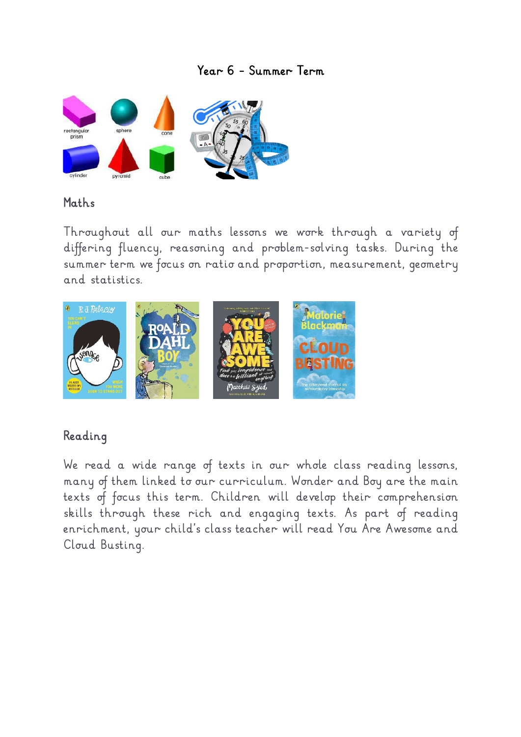### *Year 6 – Summer Term*



#### *Maths*

*Throughout all our maths lessons we work through a variety of differing fluency, reasoning and problem-solving tasks. During the summer term we focus on ratio and proportion, measurement, geometry and statistics.* 



## *Reading*

*We read a wide range of texts in our whole class reading lessons, many of them linked to our curriculum. Wonder and Boy are the main texts of focus this term. Children will develop their comprehension skills through these rich and engaging texts. As part of reading enrichment, your child's class teacher will read You Are Awesome and Cloud Busting.*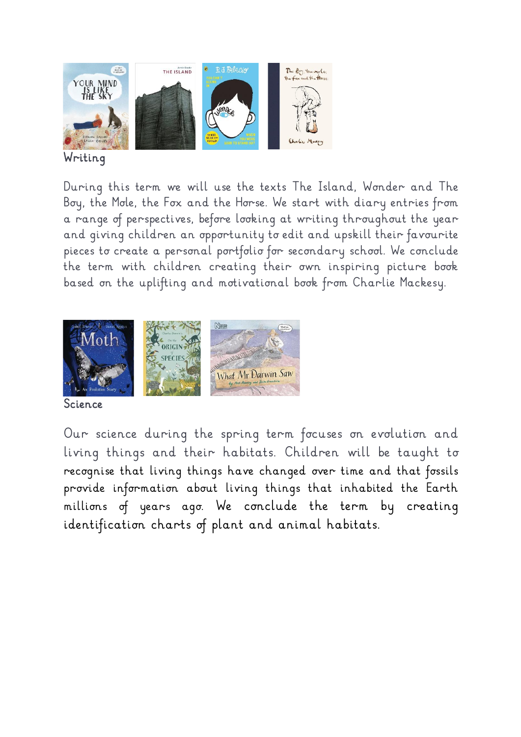

## *Writing*

*During this term we will use the texts The Island, Wonder and The Boy, the Mole, the Fox and the Horse. We start with diary entries from a range of perspectives, before looking at writing throughout the year and giving children an opportunity to edit and upskill their favourite pieces to create a personal portfolio for secondary school. We conclude the term with children creating their own inspiring picture book based on the uplifting and motivational book from Charlie Mackesy.* 



#### *Science*

*Our science during the spring term focuses on evolution and living things and their habitats. Children will be taught to recognise that living things have changed over time and that fossils provide information about living things that inhabited the Earth millions of years ago. We conclude the term by creating identification charts of plant and animal habitats.*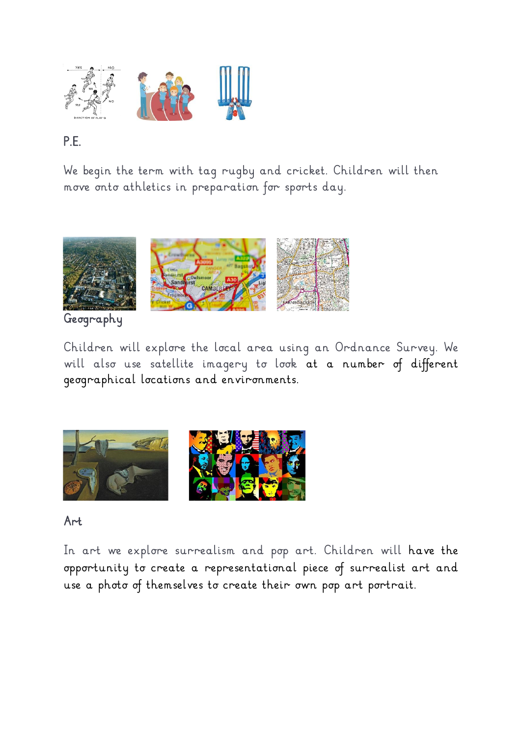

# *P.E.*

*We begin the term with tag rugby and cricket. Children will then move onto athletics in preparation for sports day.* 



*Geography* 

*Children will explore the local area using an Ordnance Survey. We will also use satellite imagery to look at a number of different geographical locations and environments.*



#### *Art*

In art we explore surrealism and pop art. Children will have the *opportunity to create a representational piece of surrealist art and use a photo of themselves to create their own pop art portrait.*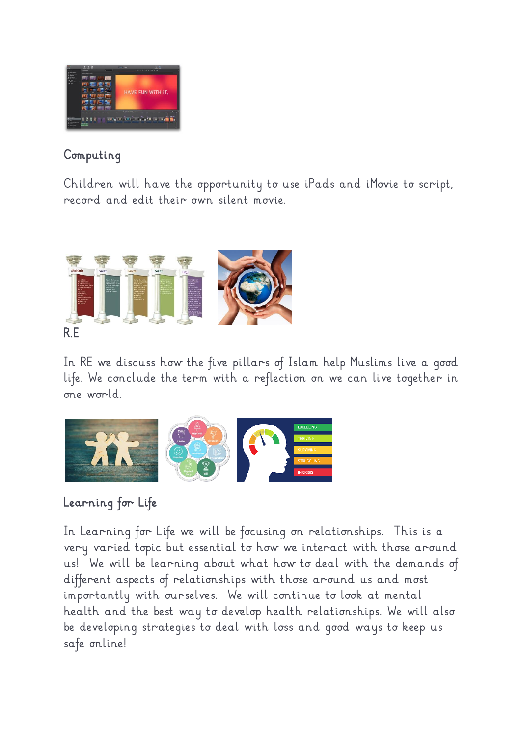

## *Computing*

*Children will have the opportunity to use iPads and iMovie to script, record and edit their own silent movie.* 



*In RE we discuss how the five pillars of Islam help Muslims live a good life. We conclude the term with a reflection on we can live together in one world.* 



# *Learning for Life*

In Learning for Life we will be focusing on relationships. This is a *very varied topic but essential to how we interact with those around us! We will be learning about what how to deal with the demands of different aspects of relationships with those around us and most importantly with ourselves. We will continue to look at mental health and the best way to develop health relationships. We will also be developing strategies to deal with loss and good ways to keep us safe online!*